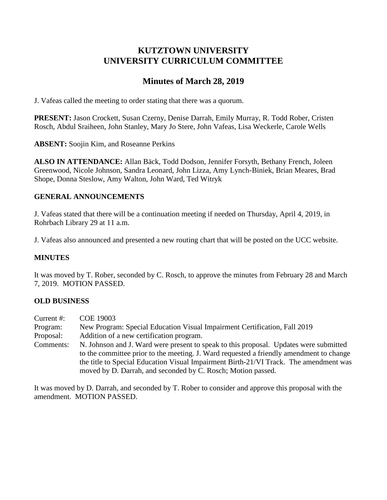# **KUTZTOWN UNIVERSITY UNIVERSITY CURRICULUM COMMITTEE**

# **Minutes of March 28, 2019**

J. Vafeas called the meeting to order stating that there was a quorum.

**PRESENT:** Jason Crockett, Susan Czerny, Denise Darrah, Emily Murray, R. Todd Rober, Cristen Rosch, Abdul Sraiheen, John Stanley, Mary Jo Stere, John Vafeas, Lisa Weckerle, Carole Wells

**ABSENT:** Soojin Kim, and Roseanne Perkins

**ALSO IN ATTENDANCE:** Allan Bäck, Todd Dodson, Jennifer Forsyth, Bethany French, Joleen Greenwood, Nicole Johnson, Sandra Leonard, John Lizza, Amy Lynch-Biniek, Brian Meares, Brad Shope, Donna Steslow, Amy Walton, John Ward, Ted Witryk

## **GENERAL ANNOUNCEMENTS**

J. Vafeas stated that there will be a continuation meeting if needed on Thursday, April 4, 2019, in Rohrbach Library 29 at 11 a.m.

J. Vafeas also announced and presented a new routing chart that will be posted on the UCC website.

## **MINUTES**

It was moved by T. Rober, seconded by C. Rosch, to approve the minutes from February 28 and March 7, 2019. MOTION PASSED.

## **OLD BUSINESS**

Current #: COE 19003 Program: New Program: Special Education Visual Impairment Certification, Fall 2019 Proposal: Addition of a new certification program. Comments: N. Johnson and J. Ward were present to speak to this proposal. Updates were submitted to the committee prior to the meeting. J. Ward requested a friendly amendment to change the title to Special Education Visual Impairment Birth-21/VI Track. The amendment was moved by D. Darrah, and seconded by C. Rosch; Motion passed.

It was moved by D. Darrah, and seconded by T. Rober to consider and approve this proposal with the amendment. MOTION PASSED.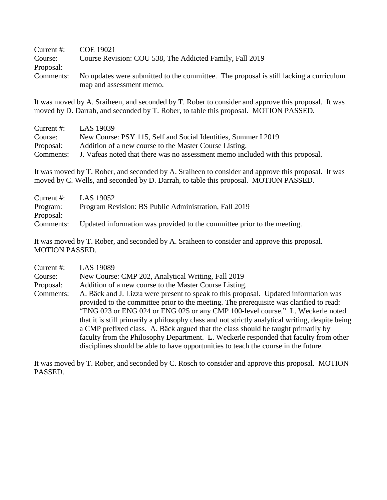| Current $#$ : | COE 19021                                                                              |  |  |  |
|---------------|----------------------------------------------------------------------------------------|--|--|--|
| Course:       | Course Revision: COU 538, The Addicted Family, Fall 2019                               |  |  |  |
| Proposal:     |                                                                                        |  |  |  |
| Comments:     | No updates were submitted to the committee. The proposal is still lacking a curriculum |  |  |  |
|               | map and assessment memo.                                                               |  |  |  |

It was moved by A. Sraiheen, and seconded by T. Rober to consider and approve this proposal. It was moved by D. Darrah, and seconded by T. Rober, to table this proposal. MOTION PASSED.

| Current $#$ : | LAS 19039                                                                      |
|---------------|--------------------------------------------------------------------------------|
| Course:       | New Course: PSY 115, Self and Social Identities, Summer I 2019                 |
| Proposal:     | Addition of a new course to the Master Course Listing.                         |
| Comments:     | J. Vafeas noted that there was no assessment memo included with this proposal. |

It was moved by T. Rober, and seconded by A. Sraiheen to consider and approve this proposal. It was moved by C. Wells, and seconded by D. Darrah, to table this proposal. MOTION PASSED.

|           | Current #: $\qquad \qquad$ LAS 19052                                    |
|-----------|-------------------------------------------------------------------------|
| Program:  | Program Revision: BS Public Administration, Fall 2019                   |
| Proposal: |                                                                         |
| Comments: | Updated information was provided to the committee prior to the meeting. |

It was moved by T. Rober, and seconded by A. Sraiheen to consider and approve this proposal. MOTION PASSED.

| Current #: | <b>LAS 19089</b>                                                                                 |  |  |  |  |
|------------|--------------------------------------------------------------------------------------------------|--|--|--|--|
| Course:    | New Course: CMP 202, Analytical Writing, Fall 2019                                               |  |  |  |  |
| Proposal:  | Addition of a new course to the Master Course Listing.                                           |  |  |  |  |
| Comments:  | A. Bäck and J. Lizza were present to speak to this proposal. Updated information was             |  |  |  |  |
|            | provided to the committee prior to the meeting. The prerequisite was clarified to read:          |  |  |  |  |
|            | "ENG 023 or ENG 024 or ENG 025 or any CMP 100-level course." L. Weckerle noted                   |  |  |  |  |
|            | that it is still primarily a philosophy class and not strictly analytical writing, despite being |  |  |  |  |
|            | a CMP prefixed class. A. Bäck argued that the class should be taught primarily by                |  |  |  |  |
|            | faculty from the Philosophy Department. L. Weckerle responded that faculty from other            |  |  |  |  |
|            | disciplines should be able to have opportunities to teach the course in the future.              |  |  |  |  |

It was moved by T. Rober, and seconded by C. Rosch to consider and approve this proposal. MOTION PASSED.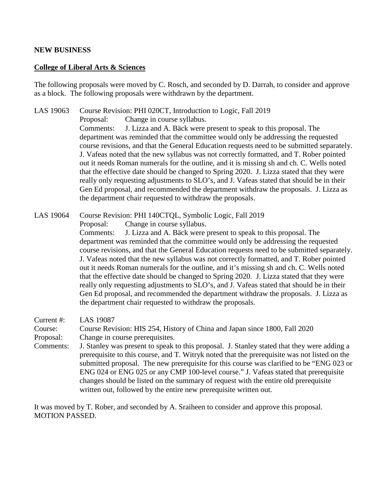#### **NEW BUSINESS**

#### **College of Liberal Arts & Sciences**

The following proposals were moved by C. Rosch, and seconded by D. Darrah, to consider and approve as a block. The following proposals were withdrawn by the department.

LAS 19063 Course Revision: PHI 020CT, Introduction to Logic, Fall 2019 Proposal: Change in course syllabus. Comments: J. Lizza and A. Bäck were present to speak to this proposal. The department was reminded that the committee would only be addressing the requested course revisions, and that the General Education requests need to be submitted separately. J. Vafeas noted that the new syllabus was not correctly formatted, and T. Rober pointed out it needs Roman numerals for the outline, and it is missing sh and ch. C. Wells noted that the effective date should be changed to Spring 2020. J. Lizza stated that they were really only requesting adjustments to SLO's, and J. Vafeas stated that should be in their Gen Ed proposal, and recommended the department withdraw the proposals. J. Lizza as the department chair requested to withdraw the proposals.

LAS 19064 Course Revision: PHI 140CTQL, Symbolic Logic, Fall 2019 Proposal: Change in course syllabus. Comments: J. Lizza and A. Bäck were present to speak to this proposal. The department was reminded that the committee would only be addressing the requested course revisions, and that the General Education requests need to be submitted separately. J. Vafeas noted that the new syllabus was not correctly formatted, and T. Rober pointed out it needs Roman numerals for the outline, and it's missing sh and ch. C. Wells noted that the effective date should be changed to Spring 2020. J. Lizza stated that they were really only requesting adjustments to SLO's, and J. Vafeas stated that should be in their Gen Ed proposal, and recommended the department withdraw the proposals. J. Lizza as the department chair requested to withdraw the proposals.

Current #: LAS 19087

Course: Course Revision: HIS 254, History of China and Japan since 1800, Fall 2020 Proposal: Change in course prerequisites.

Comments: J. Stanley was present to speak to this proposal. J. Stanley stated that they were adding a prerequisite to this course, and T. Witryk noted that the prerequisite was not listed on the submitted proposal. The new prerequisite for this course was clarified to be "ENG 023 or ENG 024 or ENG 025 or any CMP 100-level course." J. Vafeas stated that prerequisite changes should be listed on the summary of request with the entire old prerequisite written out, followed by the entire new prerequisite written out.

It was moved by T. Rober, and seconded by A. Sraiheen to consider and approve this proposal. MOTION PASSED.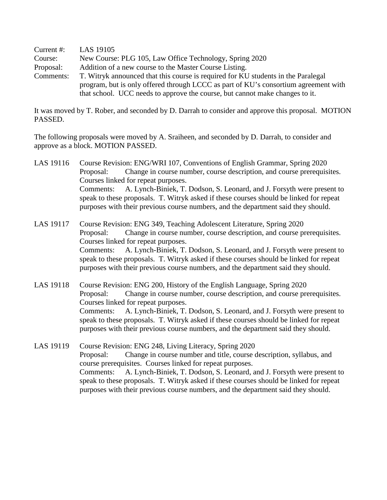| Current $#$ : | LAS 19105                                                                           |  |  |  |
|---------------|-------------------------------------------------------------------------------------|--|--|--|
| Course:       | New Course: PLG 105, Law Office Technology, Spring 2020                             |  |  |  |
| Proposal:     | Addition of a new course to the Master Course Listing.                              |  |  |  |
| Comments:     | T. Witryk announced that this course is required for KU students in the Paralegal   |  |  |  |
|               | program, but is only offered through LCCC as part of KU's consortium agreement with |  |  |  |
|               | that school. UCC needs to approve the course, but cannot make changes to it.        |  |  |  |

It was moved by T. Rober, and seconded by D. Darrah to consider and approve this proposal. MOTION PASSED.

The following proposals were moved by A. Sraiheen, and seconded by D. Darrah, to consider and approve as a block. MOTION PASSED.

- LAS 19116 Course Revision: ENG/WRI 107, Conventions of English Grammar, Spring 2020 Proposal: Change in course number, course description, and course prerequisites. Courses linked for repeat purposes. Comments: A. Lynch-Biniek, T. Dodson, S. Leonard, and J. Forsyth were present to speak to these proposals. T. Witryk asked if these courses should be linked for repeat purposes with their previous course numbers, and the department said they should.
- LAS 19117 Course Revision: ENG 349, Teaching Adolescent Literature, Spring 2020 Proposal: Change in course number, course description, and course prerequisites. Courses linked for repeat purposes. Comments: A. Lynch-Biniek, T. Dodson, S. Leonard, and J. Forsyth were present to speak to these proposals. T. Witryk asked if these courses should be linked for repeat purposes with their previous course numbers, and the department said they should.
- LAS 19118 Course Revision: ENG 200, History of the English Language, Spring 2020 Proposal: Change in course number, course description, and course prerequisites. Courses linked for repeat purposes. Comments: A. Lynch-Biniek, T. Dodson, S. Leonard, and J. Forsyth were present to speak to these proposals. T. Witryk asked if these courses should be linked for repeat purposes with their previous course numbers, and the department said they should.
- LAS 19119 Course Revision: ENG 248, Living Literacy, Spring 2020 Proposal: Change in course number and title, course description, syllabus, and course prerequisites. Courses linked for repeat purposes. Comments: A. Lynch-Biniek, T. Dodson, S. Leonard, and J. Forsyth were present to speak to these proposals. T. Witryk asked if these courses should be linked for repeat purposes with their previous course numbers, and the department said they should.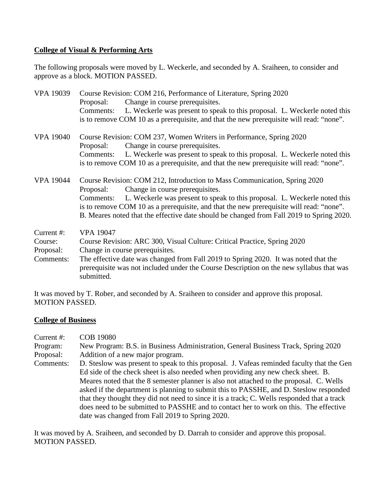## **College of Visual & Performing Arts**

The following proposals were moved by L. Weckerle, and seconded by A. Sraiheen, to consider and approve as a block. MOTION PASSED.

| <b>VPA 19039</b>                                | Course Revision: COM 216, Performance of Literature, Spring 2020<br>Change in course prerequisites.<br>Proposal:<br>L. Weckerle was present to speak to this proposal. L. Weckerle noted this<br>Comments:<br>is to remove COM 10 as a prerequisite, and that the new prerequisite will read: "none".                                                                                                      |  |
|-------------------------------------------------|------------------------------------------------------------------------------------------------------------------------------------------------------------------------------------------------------------------------------------------------------------------------------------------------------------------------------------------------------------------------------------------------------------|--|
| <b>VPA 19040</b>                                | Course Revision: COM 237, Women Writers in Performance, Spring 2020<br>Change in course prerequisites.<br>Proposal:<br>L. Weckerle was present to speak to this proposal. L. Weckerle noted this<br>Comments:<br>is to remove COM 10 as a prerequisite, and that the new prerequisite will read: "none".                                                                                                   |  |
| <b>VPA 19044</b>                                | Course Revision: COM 212, Introduction to Mass Communication, Spring 2020<br>Change in course prerequisites.<br>Proposal:<br>L. Weckerle was present to speak to this proposal. L. Weckerle noted this<br>Comments:<br>is to remove COM 10 as a prerequisite, and that the new prerequisite will read: "none".<br>B. Meares noted that the effective date should be changed from Fall 2019 to Spring 2020. |  |
| Current #:<br>Course:<br>Proposal:<br>Comments: | <b>VPA 19047</b><br>Course Revision: ARC 300, Visual Culture: Critical Practice, Spring 2020<br>Change in course prerequisites.<br>The effective date was changed from Fall 2019 to Spring 2020. It was noted that the<br>prerequisite was not included under the Course Description on the new syllabus that was<br>submitted.                                                                            |  |

It was moved by T. Rober, and seconded by A. Sraiheen to consider and approve this proposal. MOTION PASSED.

### **College of Business**

| Current $#$ : | <b>COB 19080</b>                                                                            |  |  |  |  |
|---------------|---------------------------------------------------------------------------------------------|--|--|--|--|
|               |                                                                                             |  |  |  |  |
| Program:      | New Program: B.S. in Business Administration, General Business Track, Spring 2020           |  |  |  |  |
| Proposal:     | Addition of a new major program.                                                            |  |  |  |  |
| Comments:     | D. Steslow was present to speak to this proposal. J. Vafeas reminded faculty that the Gen   |  |  |  |  |
|               | Ed side of the check sheet is also needed when providing any new check sheet. B.            |  |  |  |  |
|               | Meares noted that the 8 semester planner is also not attached to the proposal. C. Wells     |  |  |  |  |
|               | asked if the department is planning to submit this to PASSHE, and D. Steslow responded      |  |  |  |  |
|               | that they thought they did not need to since it is a track; C. Wells responded that a track |  |  |  |  |
|               | does need to be submitted to PASSHE and to contact her to work on this. The effective       |  |  |  |  |
|               | date was changed from Fall 2019 to Spring 2020.                                             |  |  |  |  |

It was moved by A. Sraiheen, and seconded by D. Darrah to consider and approve this proposal. MOTION PASSED.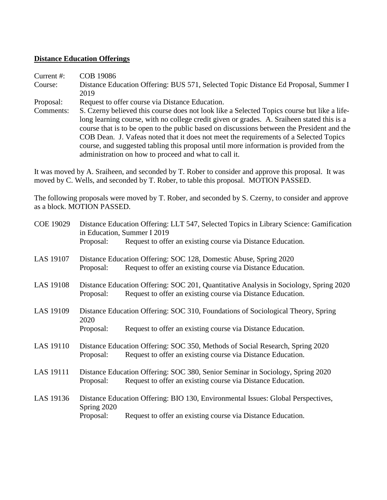#### **Distance Education Offerings**

- Current #: COB 19086 Course: Distance Education Offering: BUS 571, Selected Topic Distance Ed Proposal, Summer I 2019
- Proposal: Request to offer course via Distance Education.
- Comments: S. Czerny believed this course does not look like a Selected Topics course but like a lifelong learning course, with no college credit given or grades. A. Sraiheen stated this is a course that is to be open to the public based on discussions between the President and the COB Dean. J. Vafeas noted that it does not meet the requirements of a Selected Topics course, and suggested tabling this proposal until more information is provided from the administration on how to proceed and what to call it.

It was moved by A. Sraiheen, and seconded by T. Rober to consider and approve this proposal. It was moved by C. Wells, and seconded by T. Rober, to table this proposal. MOTION PASSED.

The following proposals were moved by T. Rober, and seconded by S. Czerny, to consider and approve as a block. MOTION PASSED.

| Proposal:                                                                                                                                                                   | Distance Education Offering: LLT 547, Selected Topics in Library Science: Gamification<br>in Education, Summer I 2019<br>Request to offer an existing course via Distance Education. |  |  |
|-----------------------------------------------------------------------------------------------------------------------------------------------------------------------------|--------------------------------------------------------------------------------------------------------------------------------------------------------------------------------------|--|--|
| Distance Education Offering: SOC 128, Domestic Abuse, Spring 2020<br>Request to offer an existing course via Distance Education.<br>Proposal:                               |                                                                                                                                                                                      |  |  |
| Proposal:                                                                                                                                                                   | Distance Education Offering: SOC 201, Quantitative Analysis in Sociology, Spring 2020<br>Request to offer an existing course via Distance Education.                                 |  |  |
| Distance Education Offering: SOC 310, Foundations of Sociological Theory, Spring<br>2020<br>Request to offer an existing course via Distance Education.<br>Proposal:        |                                                                                                                                                                                      |  |  |
| Distance Education Offering: SOC 350, Methods of Social Research, Spring 2020<br>Request to offer an existing course via Distance Education.<br>Proposal:                   |                                                                                                                                                                                      |  |  |
| Distance Education Offering: SOC 380, Senior Seminar in Sociology, Spring 2020<br>Request to offer an existing course via Distance Education.<br>Proposal:                  |                                                                                                                                                                                      |  |  |
| Distance Education Offering: BIO 130, Environmental Issues: Global Perspectives,<br>Spring 2020<br>Request to offer an existing course via Distance Education.<br>Proposal: |                                                                                                                                                                                      |  |  |
|                                                                                                                                                                             |                                                                                                                                                                                      |  |  |